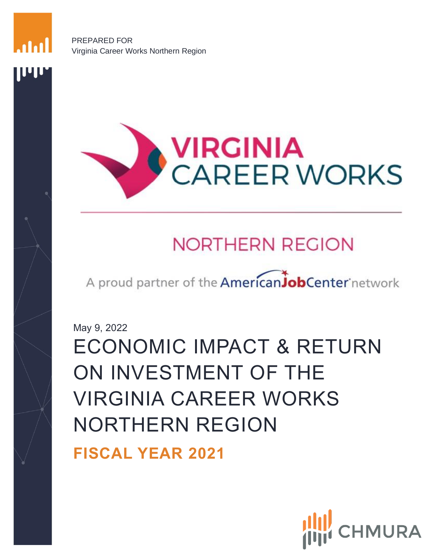PREPARED FOR Virginia Career Works Northern Region

<span id="page-0-0"></span>**UU** 



# **NORTHERN REGION**

A proud partner of the AmericanJobCenter network

May 9, 2022

ECONOMIC IMPACT & RETURN ON INVESTMENT OF THE VIRGINIA CAREER WORKS NORTHERN REGION

**FISCAL YEAR 2021**

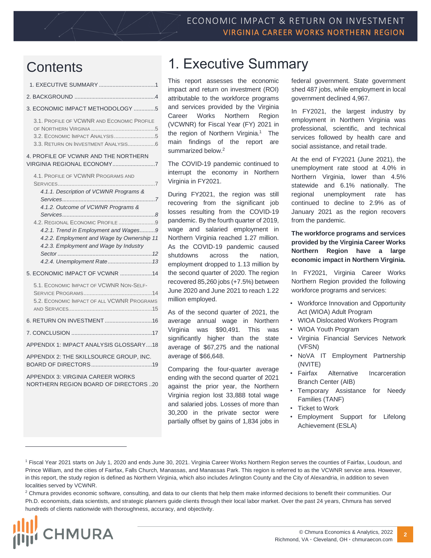## **Contents**

| 3. ECONOMIC IMPACT METHODOLOGY 5                                                                                              |
|-------------------------------------------------------------------------------------------------------------------------------|
| 3.1. PROFILE OF VCWNR AND ECONOMIC PROFILE                                                                                    |
| 4. PROFILE OF VCWNR AND THE NORTHERN<br>VIRGINIA REGIONAL ECONOMY7                                                            |
| 4.1. PROFILE OF VCWNR PROGRAMS AND<br><b>SERVICES</b>                                                                         |
| 4.1.1. Description of VCWNR Programs &                                                                                        |
| 4.1.2. Outcome of VCWNR Programs &                                                                                            |
| 4.2. REGIONAL ECONOMIC PROFILE 9                                                                                              |
| 4.2.1. Trend in Employment and Wages9<br>4.2.2. Employment and Wage by Ownership 11<br>4.2.3. Employment and Wage by Industry |
|                                                                                                                               |
| 5. ECONOMIC IMPACT OF VCWNR 14                                                                                                |
| 5.1. ECONOMIC IMPACT OF VCWNR NON-SELF-<br>5.2. ECONOMIC IMPACT OF ALL VCWNR PROGRAMS                                         |
|                                                                                                                               |
|                                                                                                                               |
| APPENDIX 1: IMPACT ANALYSIS GLOSSARY18                                                                                        |
| APPENDIX 2: THE SKILLSOURCE GROUP. INC.                                                                                       |
| APPENDIX 3: VIRGINIA CAREER WORKS<br>NORTHERN REGION BOARD OF DIRECTORS 20                                                    |

## 1. Executive Summary

This report assesses the economic impact and return on investment (ROI) attributable to the workforce programs and services provided by the Virginia Career Works Northern Region (VCWNR) for Fiscal Year (FY) 2021 in the region of Northern Virginia.<sup>1</sup> The main findings of the report are summarized below.<sup>2</sup>

The COVID-19 pandemic continued to interrupt the economy in Northern Virginia in FY2021.

During FY2021, the region was still recovering from the significant job losses resulting from the COVID-19 pandemic. By the fourth quarter of 2019, wage and salaried employment in Northern Virginia reached 1.27 million. As the COVID-19 pandemic caused shutdowns across the nation, employment dropped to 1.13 million by the second quarter of 2020. The region recovered 85,260 jobs (+7.5%) between June 2020 and June 2021 to reach 1.22 million employed.

As of the second quarter of 2021, the average annual wage in Northern Virginia was \$90,491. This was significantly higher than the state average of \$67,275 and the national average of \$66,648.

Comparing the four-quarter average ending with the second quarter of 2021 against the prior year, the Northern Virginia region lost 33,888 total wage and salaried jobs. Losses of more than 30,200 in the private sector were partially offset by gains of 1,834 jobs in federal government. State government shed 487 jobs, while employment in local government declined 4,967.

In FY2021, the largest industry by employment in Northern Virginia was professional, scientific, and technical services followed by health care and social assistance, and retail trade.

At the end of FY2021 (June 2021), the unemployment rate stood at 4.0% in Northern Virginia, lower than 4.5% statewide and 6.1% nationally. The regional unemployment rate has continued to decline to 2.9% as of January 2021 as the region recovers from the pandemic.

#### **The workforce programs and services provided by the Virginia Career Works Northern Region have a large economic impact in Northern Virginia.**

In FY2021, Virginia Career Works Northern Region provided the following workforce programs and services:

- Workforce Innovation and Opportunity Act (WIOA) Adult Program
- WIOA Dislocated Workers Program
- WIOA Youth Program
- Virginia Financial Services Network (VFSN)
- NoVA IT Employment Partnership (NVITE)
- Fairfax Alternative Incarceration Branch Center (AIB)
- Temporary Assistance for Needy Families (TANF)
- Ticket to Work
- Employment Support for Lifelong Achievement (ESLA)

<sup>&</sup>lt;sup>2</sup> Chmura provides economic software, consulting, and data to our clients that help them make informed decisions to benefit their communities. Our Ph.D. economists, data scientists, and strategic planners guide clients through their local labor market. Over the past 24 years, Chmura has served hundreds of clients nationwide with thoroughness, accuracy, and objectivity.



<sup>1</sup> Fiscal Year 2021 starts on July 1, 2020 and ends June 30, 2021. Virginia Career Works Northern Region serves the counties of Fairfax, Loudoun, and Prince William, and the cities of Fairfax, Falls Church, Manassas, and Manassas Park. This region is referred to as the VCWNR service area. However, in this report, the study region is defined as Northern Virginia, which also includes Arlington County and the City of Alexandria, in addition to seven localities served by VCWNR.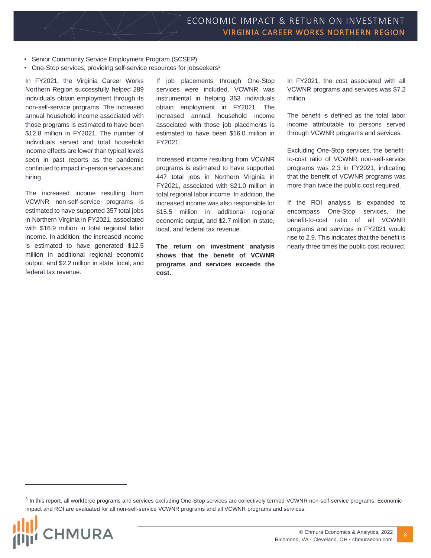- Senior Community Service Employment Program (SCSEP)
- One-Stop services, providing self-service resources for jobseekers<sup>3</sup>

In FY2021, the Virginia Career Works Northern Region successfully helped 289 individuals obtain employment through its non-self-service programs. The increased annual household income associated with those programs is estimated to have been \$12.8 million in FY2021. The number of individuals served and total household income effects are lower than typical levels seen in past reports as the pandemic continued to impact in-person services and hiring.

The increased income resulting from VCWNR non-self-service programs is estimated to have supported 357 total jobs in Northern Virginia in FY2021, associated with \$16.9 million in total regional labor income. In addition, the increased income is estimated to have generated \$12.5 million in additional regional economic output, and \$2.2 million in state, local, and federal tax revenue.

If job placements through One-Stop services were included, VCWNR was instrumental in helping 363 individuals obtain employment in FY2021. The increased annual household income associated with those job placements is estimated to have been \$16.0 million in FY2021.

Increased income resulting from VCWNR programs is estimated to have supported 447 total jobs in Northern Virginia in FY2021, associated with \$21.0 million in total regional labor income. In addition, the increased income was also responsible for \$15.5 million in additional regional economic output, and \$2.7 million in state, local, and federal tax revenue.

**The return on investment analysis shows that the benefit of VCWNR programs and services exceeds the cost.**

In FY2021, the cost associated with all VCWNR programs and services was \$7.2 million.

The benefit is defined as the total labor income attributable to persons served through VCWNR programs and services.

Excluding One-Stop services, the benefitto-cost ratio of VCWNR non-self-service programs was 2.3 in FY2021, indicating that the benefit of VCWNR programs was more than twice the public cost required.

If the ROI analysis is expanded to encompass One-Stop services, the benefit-to-cost ratio of all VCWNR programs and services in FY2021 would rise to 2.9. This indicates that the benefit is nearly three times the public cost required.

<sup>&</sup>lt;sup>3</sup> In this report, all workforce programs and services excluding One-Stop services are collectively termed VCWNR non-self-service programs. Economic impact and ROI are evaluated for all non-self-service VCWNR programs and all VCWNR programs and services.

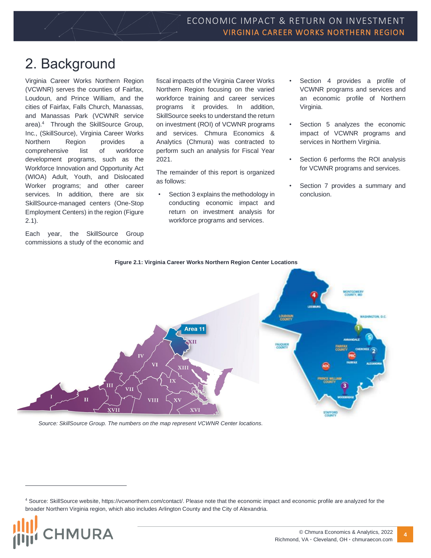## <span id="page-3-0"></span>2. Background

Virginia Career Works Northern Region (VCWNR) serves the counties of Fairfax, Loudoun, and Prince William, and the cities of Fairfax, Falls Church, Manassas, and Manassas Park (VCWNR service area).<sup>4</sup> Through the SkillSource Group, Inc., (SkillSource), Virginia Career Works Northern Region provides a comprehensive list of workforce development programs, such as the Workforce Innovation and Opportunity Act (WIOA) Adult, Youth, and Dislocated Worker programs; and other career services. In addition, there are six SkillSource-managed centers (One-Stop Employment Centers) in the region (Figure 2.1).

Each year, the SkillSource Group commissions a study of the economic and fiscal impacts of the Virginia Career Works Northern Region focusing on the varied workforce training and career services programs it provides. In addition, SkillSource seeks to understand the return on investment (ROI) of VCWNR programs and services. Chmura Economics & Analytics (Chmura) was contracted to perform such an analysis for Fiscal Year 2021.

The remainder of this report is organized as follows:

• Section 3 explains the methodology in conducting economic impact and return on investment analysis for workforce programs and services.

- Section 4 provides a profile of VCWNR programs and services and an economic profile of Northern Virginia.
- Section 5 analyzes the economic impact of VCWNR programs and services in Northern Virginia.
- Section 6 performs the ROI analysis for VCWNR programs and services.
- Section 7 provides a summary and conclusion.



**Figure 2.1: Virginia Career Works Northern Region Center Locations**

*Source: SkillSource Group. The numbers on the map represent VCWNR Center locations.* 

<sup>4</sup> Source: SkillSource website, https://vcwnorthern.com/contact/. Please note that the economic impact and economic profile are analyzed for the broader Northern Virginia region, which also includes Arlington County and the City of Alexandria.

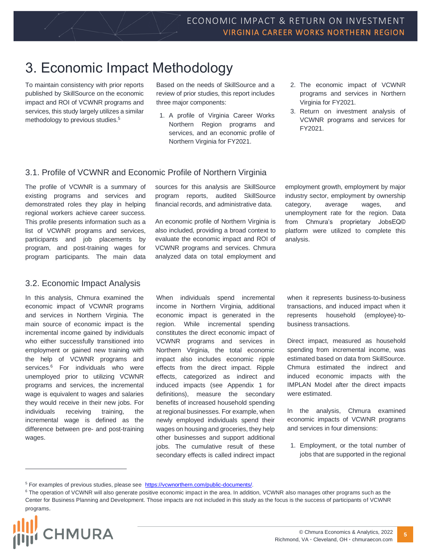## <span id="page-4-0"></span>3. Economic Impact Methodology

To maintain consistency with prior reports published by SkillSource on the economic impact and ROI of VCWNR programs and services, this study largely utilizes a similar methodology to previous studies.<sup>5</sup>

Based on the needs of SkillSource and a review of prior studies, this report includes three major components:

- 1. A profile of Virginia Career Works Northern Region programs and services, and an economic profile of Northern Virginia for FY2021.
- 2. The economic impact of VCWNR programs and services in Northern Virginia for FY2021.
- 3. Return on investment analysis of VCWNR programs and services for FY2021.

### <span id="page-4-1"></span>3.1. Profile of VCWNR and Economic Profile of Northern Virginia

The profile of VCWNR is a summary of existing programs and services and demonstrated roles they play in helping regional workers achieve career success. This profile presents information such as a list of VCWNR programs and services, participants and job placements by program, and post-training wages for program participants. The main data

### <span id="page-4-2"></span>3.2. Economic Impact Analysis

In this analysis, Chmura examined the economic impact of VCWNR programs and services in Northern Virginia. The main source of economic impact is the incremental income gained by individuals who either successfully transitioned into employment or gained new training with the help of VCWNR programs and services.<sup>6</sup> For individuals who were unemployed prior to utilizing VCWNR programs and services, the incremental wage is equivalent to wages and salaries they would receive in their new jobs. For individuals receiving training, the incremental wage is defined as the difference between pre- and post-training wages.

sources for this analysis are SkillSource program reports, audited SkillSource financial records, and administrative data.

An economic profile of Northern Virginia is also included, providing a broad context to evaluate the economic impact and ROI of VCWNR programs and services. Chmura analyzed data on total employment and employment growth, employment by major industry sector, employment by ownership category, average wages, and unemployment rate for the region. Data from Chmura's proprietary JobsEQ© platform were utilized to complete this analysis.

When individuals spend incremental income in Northern Virginia, additional economic impact is generated in the region. While incremental spending constitutes the direct economic impact of VCWNR programs and services in Northern Virginia, the total economic impact also includes economic ripple effects from the direct impact. Ripple effects, categorized as indirect and induced impacts (see Appendix 1 for definitions), measure the secondary benefits of increased household spending at regional businesses. For example, when newly employed individuals spend their wages on housing and groceries, they help other businesses and support additional jobs. The cumulative result of these secondary effects is called indirect impact

when it represents business-to-business transactions, and induced impact when it represents household (employee)-tobusiness transactions.

Direct impact, measured as household spending from incremental income, was estimated based on data from SkillSource. Chmura estimated the indirect and induced economic impacts with the IMPLAN Model after the direct impacts were estimated.

In the analysis, Chmura examined economic impacts of VCWNR programs and services in four dimensions:

1. Employment, or the total number of jobs that are supported in the regional

<sup>&</sup>lt;sup>6</sup> The operation of VCWNR will also generate positive economic impact in the area. In addition, VCWNR also manages other programs such as the Center for Business Planning and Development. Those impacts are not included in this study as the focus is the success of participants of VCWNR programs.



<sup>&</sup>lt;sup>5</sup> For examples of previous studies, please see https://vcwnorthern.com/public-documents/.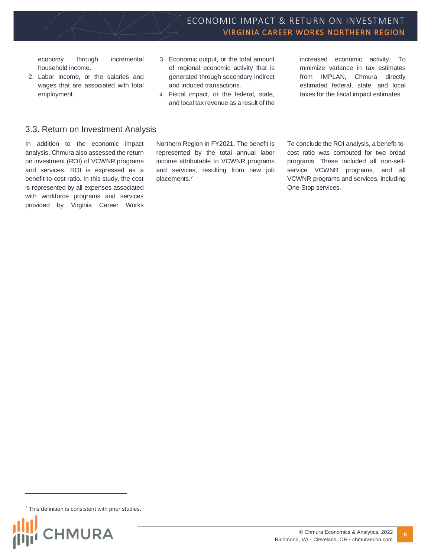economy through incremental household income.

- 2. Labor income, or the salaries and wages that are associated with total employment.
- 3. Economic output, or the total amount of regional economic activity that is generated through secondary indirect and induced transactions.
- 4. Fiscal impact, or the federal, state, and local tax revenue as a result of the

increased economic activity. To minimize variance in tax estimates from IMPLAN, Chmura directly estimated federal, state, and local taxes for the fiscal impact estimates.

### <span id="page-5-0"></span>3.3. Return on Investment Analysis

In addition to the economic impact analysis, Chmura also assessed the return on investment (ROI) of VCWNR programs and services. ROI is expressed as a benefit-to-cost ratio. In this study, the cost is represented by all expenses associated with workforce programs and services provided by Virginia Career Works

Northern Region in FY2021. The benefit is represented by the total annual labor income attributable to VCWNR programs and services, resulting from new job placements.<sup>7</sup>

To conclude the ROI analysis, a benefit-tocost ratio was computed for two broad programs. These included all non-selfservice VCWNR programs, and all VCWNR programs and services, including One-Stop services.

 $7$  This definition is consistent with prior studies.

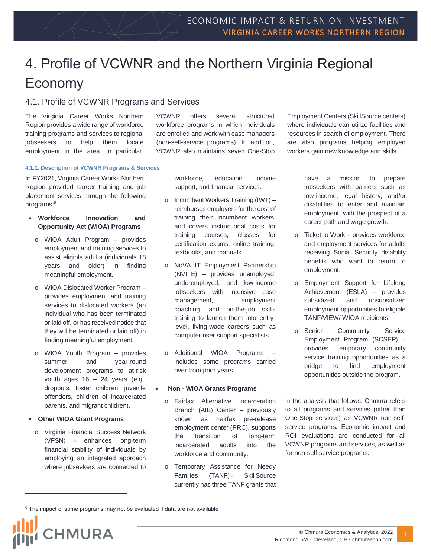## <span id="page-6-0"></span>4. Profile of VCWNR and the Northern Virginia Regional Economy

### <span id="page-6-1"></span>4.1. Profile of VCWNR Programs and Services

The Virginia Career Works Northern Region provides a wide range of workforce training programs and services to regional jobseekers to help them locate employment in the area. In particular, VCWNR offers several structured workforce programs in which individuals are enrolled and work with case managers (non-self-service programs). In addition, VCWNR also maintains seven One-Stop

Employment Centers (SkillSource centers) where individuals can utilize facilities and resources in search of employment. There are also programs helping employed workers gain new knowledge and skills.

#### <span id="page-6-2"></span>**4.1.1. Description of VCWNR Programs & Services**

In FY2021, Virginia Career Works Northern Region provided career training and job placement services through the following programs:<sup>8</sup>

#### • **Workforce Innovation and Opportunity Act (WIOA) Programs**

- o WIOA Adult Program provides employment and training services to assist eligible adults (individuals 18 years and older) in finding meaningful employment.
- o WIOA Dislocated Worker Program provides employment and training services to dislocated workers (an individual who has been terminated or laid off, or has received notice that they will be terminated or laid off) in finding meaningful employment.
- o WIOA Youth Program provides summer and year-round development programs to at-risk youth ages  $16 - 24$  years (e.g., dropouts, foster children, juvenile offenders, children of incarcerated parents, and migrant children).

#### • **Other WIOA Grant Programs**

o Virginia Financial Success Network (VFSN) – enhances long-term financial stability of individuals by employing an integrated approach where jobseekers are connected to

workforce, education, income support, and financial services.

- o Incumbent Workers Training (IWT) reimburses employers for the cost of training their incumbent workers, and covers instructional costs for training courses, classes for certification exams, online training, textbooks, and manuals.
- o NoVA IT Employment Partnership (NVITE) – provides unemployed, underemployed, and low-income jobseekers with intensive case management, employment coaching, and on-the-job skills training to launch them into entrylevel, living-wage careers such as computer user support specialists.
- o Additional WIOA Programs includes some programs carried over from prior years.

#### • **Non - WIOA Grants Programs**

- o Fairfax Alternative Incarceration Branch (AIB) Center – previously known as Fairfax pre-release employment center (PRC), supports the transition of long-term incarcerated adults into the workforce and community.
- o Temporary Assistance for Needy Families (TANF)– SkillSource currently has three TANF grants that

have a mission to prepare jobseekers with barriers such as low-income, legal history, and/or disabilities to enter and maintain employment, with the prospect of a career path and wage growth.

- o Ticket to Work provides workforce and employment services for adults receiving Social Security disability benefits who want to return to employment.
- o Employment Support for Lifelong Achievement (ESLA) – provides subsidized and unsubsidized employment opportunities to eligible TANF/VIEW/ WIOA recipients.
- o Senior Community Service Employment Program (SCSEP) – provides temporary community service training opportunities as a bridge to find employment opportunities outside the program.

In the analysis that follows, Chmura refers to all programs and services (other than One-Stop services) as VCWNR non-selfservice programs. Economic impact and ROI evaluations are conducted for all VCWNR programs and services, as well as for non-self-service programs.

<sup>&</sup>lt;sup>8</sup> The impact of some programs may not be evaluated if data are not available

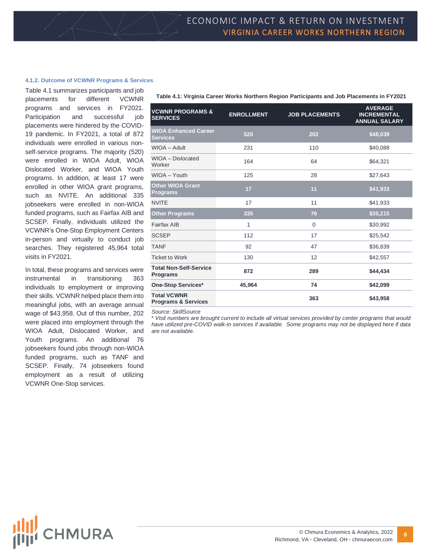#### <span id="page-7-0"></span>**4.1.2. Outcome of VCWNR Programs & Services**

Table 4.1 summarizes participants and job placements for different VCWNR programs and services in FY2021. Participation and successful job placements were hindered by the COVID-19 pandemic. In FY2021, a total of 872 individuals were enrolled in various nonself-service programs. The majority (520) were enrolled in WIOA Adult, WIOA Dislocated Worker, and WIOA Youth programs. In addition, at least 17 were enrolled in other WIOA grant programs, such as NVITE. An additional 335 jobseekers were enrolled in non-WIOA funded programs, such as Fairfax AIB and SCSEP. Finally, individuals utilized the VCWNR's One-Stop Employment Centers in-person and virtually to conduct job searches. They registered 45,964 total visits in FY2021.

In total, these programs and services were instrumental in transitioning 363 individuals to employment or improving their skills. VCWNR helped place them into meaningful jobs, with an average annual wage of \$43,958. Out of this number, 202 were placed into employment through the WIOA Adult, Dislocated Worker, and Youth programs. An additional 76 jobseekers found jobs through non-WIOA funded programs, such as TANF and SCSEP. Finally, 74 jobseekers found employment as a result of utilizing VCWNR One-Stop services.

| Table 4.1: Virginia Career Works Northern Region Participants and Job Placements in FY2021 |  |  |  |
|--------------------------------------------------------------------------------------------|--|--|--|
|                                                                                            |  |  |  |

| <b>VCWNR PROGRAMS &amp;</b><br><b>SERVICES</b>       | <b>ENROLLMENT</b> | <b>JOB PLACEMENTS</b> | <b>AVERAGE</b><br><b>INCREMENTAL</b><br><b>ANNUAL SALARY</b> |
|------------------------------------------------------|-------------------|-----------------------|--------------------------------------------------------------|
| <b>WIOA Enhanced Career</b><br><b>Services</b>       | 520               | 202                   | \$48,039                                                     |
| WIOA - Adult                                         | 231               | 110                   | \$40,088                                                     |
| WIOA - Dislocated<br>Worker                          | 164               | 64                    | \$64,321                                                     |
| WIOA - Youth                                         | 125               | 28                    | \$27,643                                                     |
| <b>Other WIOA Grant</b><br><b>Programs</b>           | 17                | 11                    | \$41,933                                                     |
| <b>NVITE</b>                                         | 17                | 11                    | \$41,933                                                     |
| <b>Other Programs</b>                                | 335               | 76                    | \$35,215                                                     |
| <b>Fairfax AIB</b>                                   | 1                 | $\mathbf 0$           | \$30,992                                                     |
| <b>SCSEP</b>                                         | 112               | 17                    | \$25,542                                                     |
| <b>TANF</b>                                          | 92                | 47                    | \$36,839                                                     |
| <b>Ticket to Work</b>                                | 130               | 12                    | \$42,557                                                     |
| <b>Total Non-Self-Service</b><br><b>Programs</b>     | 872               | 289                   | \$44,434                                                     |
| <b>One-Stop Services*</b>                            | 45,964            | 74                    | \$42,099                                                     |
| <b>Total VCWNR</b><br><b>Programs &amp; Services</b> |                   | 363                   | \$43,958                                                     |
|                                                      |                   |                       |                                                              |

*Source: SkillSource*

\* *Visit numbers are brought current to include all virtual services provided by center programs that would*  have utilized pre-COVID walk-in services if available. Some programs may not be displayed here if data *are not available.*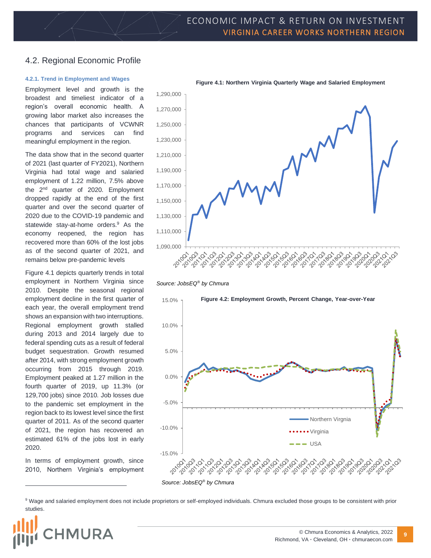### <span id="page-8-0"></span>4.2. Regional Economic Profile

#### <span id="page-8-1"></span>**4.2.1. Trend in Employment and Wages**

Employment level and growth is the broadest and timeliest indicator of a region's overall economic health. A growing labor market also increases the chances that participants of VCWNR programs and services can find meaningful employment in the region.

The data show that in the second quarter of 2021 (last quarter of FY2021), Northern Virginia had total wage and salaried employment of 1.22 million, 7.5% above the 2<sup>nd</sup> quarter of 2020. Employment dropped rapidly at the end of the first quarter and over the second quarter of 2020 due to the COVID-19 pandemic and statewide stay-at-home orders.<sup>9</sup> As the economy reopened, the region has recovered more than 60% of the lost jobs as of the second quarter of 2021, and remains below pre-pandemic levels

Figure 4.1 depicts quarterly trends in total employment in Northern Virginia since 2010. Despite the seasonal regional employment decline in the first quarter of each year, the overall employment trend shows an expansion with two interruptions. Regional employment growth stalled during 2013 and 2014 largely due to federal spending cuts as a result of federal budget sequestration. Growth resumed after 2014, with strong employment growth occurring from 2015 through 2019. Employment peaked at 1.27 million in the fourth quarter of 2019, up 11.3% (or 129,700 jobs) since 2010. Job losses due to the pandemic set employment in the region back to its lowest level since the first quarter of 2011. As of the second quarter of 2021, the region has recovered an estimated 61% of the jobs lost in early 2020.

In terms of employment growth, since 2010, Northern Virginia's employment



*Source: JobsEQ® by Chmura*



<sup>9</sup> Wage and salaried employment does not include proprietors or self-employed individuals. Chmura excluded those groups to be consistent with prior studies.

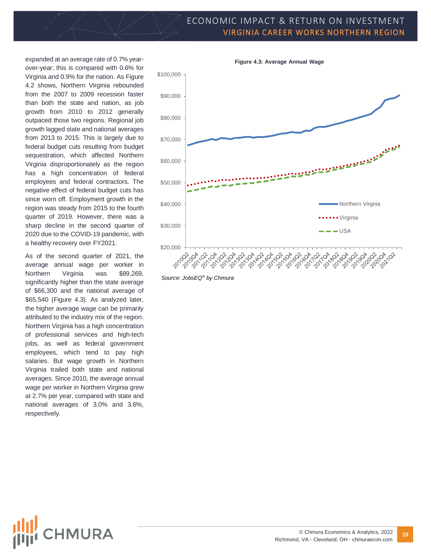### ECONOMIC IMPACT & RETURN ON INVESTMENT VIRGINIA CAREER WORKS NORTHERN REGION

expanded at an average rate of 0.7% yearover-year; this is compared with 0.6% for Virginia and 0.9% for the nation. As Figure 4.2 shows, Northern Virginia rebounded from the 2007 to 2009 recession faster than both the state and nation, as job growth from 2010 to 2012 generally outpaced those two regions. Regional job growth lagged state and national averages from 2013 to 2015. This is largely due to federal budget cuts resulting from budget sequestration, which affected Northern Virginia disproportionately as the region has a high concentration of federal employees and federal contractors. The negative effect of federal budget cuts has since worn off. Employment growth in the region was steady from 2015 to the fourth quarter of 2019. However, there was a sharp decline in the second quarter of 2020 due to the COVID-19 pandemic, with a healthy recovery over FY2021.

As of the second quarter of 2021, the average annual wage per worker in Northern Virginia was \$89,269, significantly higher than the state average of \$66,300 and the national average of \$65,540 (Figure 4.3). As analyzed later, the higher average wage can be primarily attributed to the industry mix of the region. Northern Virginia has a high concentration of professional services and high-tech jobs, as well as federal government employees, which tend to pay high salaries. But wage growth in Northern Virginia trailed both state and national averages. Since 2010, the average annual wage per worker in Northern Virginia grew at 2.7% per year, compared with state and national averages of 3.0% and 3.6%, respectively.



*Source: JobsEQ® by Chmura*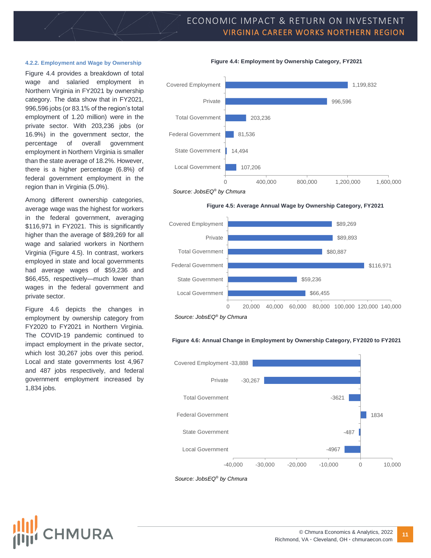### ECONOMIC IMPACT & RETURN ON INVESTMENT VIRGINIA CAREER WORKS NORTHERN REGION

**Figure 4.4: Employment by Ownership Category, FY2021**

#### <span id="page-10-0"></span>**4.2.2. Employment and Wage by Ownership**

Figure 4.4 provides a breakdown of total wage and salaried employment in Northern Virginia in FY2021 by ownership category. The data show that in FY2021, 996,596 jobs (or 83.1% of the region's total employment of 1.20 million) were in the private sector. With 203,236 jobs (or 16.9%) in the government sector, the percentage of overall government employment in Northern Virginia is smaller than the state average of 18.2%. However, there is a higher percentage (6.8%) of federal government employment in the region than in Virginia (5.0%).

Among different ownership categories, average wage was the highest for workers in the federal government, averaging \$116,971 in FY2021. This is significantly higher than the average of \$89,269 for all wage and salaried workers in Northern Virginia (Figure 4.5). In contrast, workers employed in state and local governments had average wages of \$59,236 and \$66,455, respectively—much lower than wages in the federal government and private sector.

Figure 4.6 depicts the changes in employment by ownership category from FY2020 to FY2021 in Northern Virginia. The COVID-19 pandemic continued to impact employment in the private sector, which lost 30,267 jobs over this period. Local and state governments lost 4,967 and 487 jobs respectively, and federal government employment increased by 1,834 jobs.

**HMURA** 



*Source: JobsEQ® by Chmura*

#### **Figure 4.5: Average Annual Wage by Ownership Category, FY2021**



*Source: JobsEQ® by Chmura*

#### **Figure 4.6: Annual Change in Employment by Ownership Category, FY2020 to FY2021**



*Source: JobsEQ® by Chmura*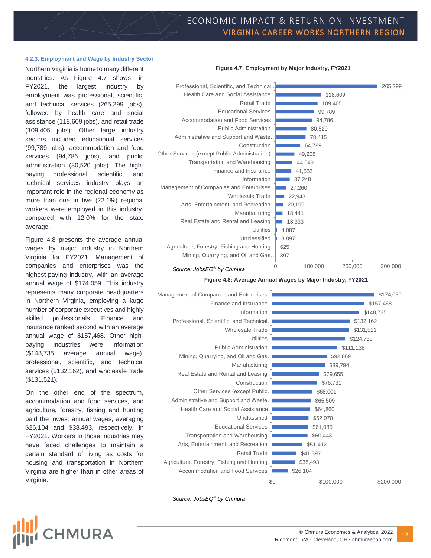**Figure 4.7: Employment by Major Industry, FY2021**

#### <span id="page-11-0"></span>**4.2.3. Employment and Wage by Industry Sector**

Northern Virginia is home to many different industries. As Figure 4.7 shows, in FY2021, the largest industry by employment was professional, scientific, and technical services (265,299 jobs), followed by health care and social assistance (118,609 jobs), and retail trade (109,405 jobs). Other large industry sectors included educational services (99,789 jobs), accommodation and food services (94,786 jobs), and public administration (80,520 jobs). The highpaying professional, scientific, and technical services industry plays an important role in the regional economy as more than one in five (22.1%) regional workers were employed in this industry, compared with 12.0% for the state average.

Figure 4.8 presents the average annual wages by major industry in Northern Virginia for FY2021. Management of companies and enterprises was the highest-paying industry, with an average annual wage of \$174,059. This industry represents many corporate headquarters in Northern Virginia, employing a large number of corporate executives and highly skilled professionals. Finance and insurance ranked second with an average annual wage of \$157,468. Other highpaying industries were information (\$148,735 average annual wage), professional, scientific, and technical services (\$132,162), and wholesale trade (\$131,521).

On the other end of the spectrum, accommodation and food services, and agriculture, forestry, fishing and hunting paid the lowest annual wages, averaging \$26,104 and \$38,493, respectively, in FY2021. Workers in those industries may have faced challenges to maintain a certain standard of living as costs for housing and transportation in Northern Virginia are higher than in other areas of Virginia.



*Source: JobsEQ® by Chmura*

**Figure 4.8: Average Annual Wages by Major Industry, FY2021**



*Source: JobsEQ® by Chmura*



#### © Chmura Economics & Analytics, 2022 Richmond, VA **·** Cleveland, OH **·** chmuraecon.com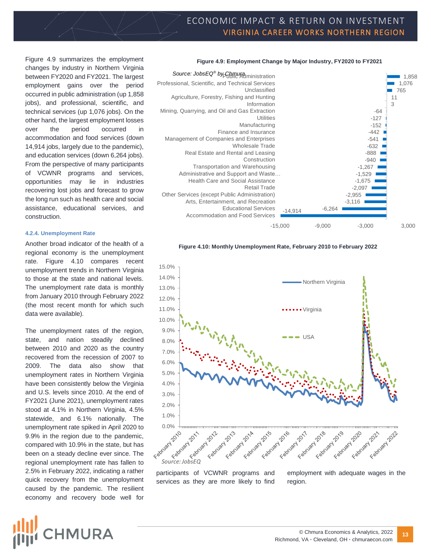Figure 4.9 summarizes the employment changes by industry in Northern Virginia between FY2020 and FY2021. The largest employment gains over the period occurred in public administration (up 1,858 jobs), and professional, scientific, and technical services (up 1,076 jobs). On the other hand, the largest employment losses over the period occurred in accommodation and food services (down 14,914 jobs, largely due to the pandemic), and education services (down 6,264 jobs). From the perspective of many participants of VCWNR programs and services, opportunities may lie in industries recovering lost jobs and forecast to grow the long run such as health care and social assistance, educational services, and construction.

#### <span id="page-12-0"></span>**4.2.4. Unemployment Rate**

Another broad indicator of the health of a regional economy is the unemployment rate. Figure 4.10 compares recent unemployment trends in Northern Virginia to those at the state and national levels. The unemployment rate data is monthly from January 2010 through February 2022 (the most recent month for which such data were available).

The unemployment rates of the region, state, and nation steadily declined between 2010 and 2020 as the country recovered from the recession of 2007 to 2009. The data also show that unemployment rates in Northern Virginia have been consistently below the Virginia and U.S. levels since 2010. At the end of FY2021 (June 2021), unemployment rates stood at 4.1% in Northern Virginia, 4.5% statewide, and 6.1% nationally. The unemployment rate spiked in April 2020 to 9.9% in the region due to the pandemic, compared with 10.9% in the state, but has been on a steady decline ever since. The regional unemployment rate has fallen to 2.5% in February 2022, indicating a rather quick recovery from the unemployment caused by the pandemic. The resilient economy and recovery bode well for

#### **Figure 4.9: Employment Change by Major Industry, FY2020 to FY2021**



#### **Figure 4.10: Monthly Unemployment Rate, February 2010 to February 2022**



participants of VCWNR programs and services as they are more likely to find region.

employment with adequate wages in the

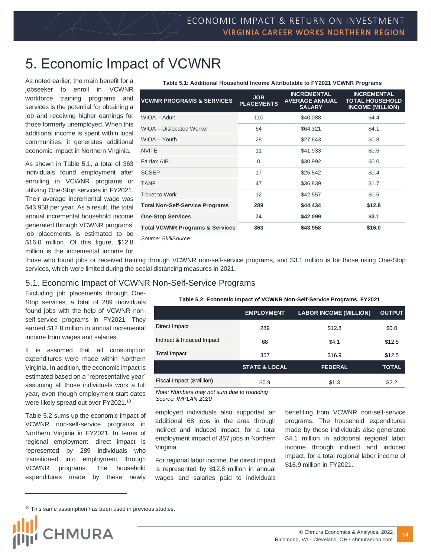## <span id="page-13-0"></span>5. Economic Impact of VCWNR

As noted earlier, the main benefit for a jobseeker to enroll in VCWNR workforce training programs and services is the potential for obtaining a job and receiving higher earnings for those formerly unemployed. When this additional income is spent within local communities, it generates additional economic impact in Northern Virginia.

As shown in Table 5.1, a total of 363 individuals found employment after enrolling in VCWNR programs or utilizing One-Stop services in FY2021. Their average incremental wage was \$43,958 per year. As a result, the total annual incremental household income generated through VCWNR programs' job placements is estimated to be \$16.0 million. Of this figure, \$12.8 million is the incremental income for

| <u>Fable J.T. Auditional Housenoid Income Attributable to FTZ02T VONNIV FTOgrams</u> |                                 |                                                              |                                                                         |  |
|--------------------------------------------------------------------------------------|---------------------------------|--------------------------------------------------------------|-------------------------------------------------------------------------|--|
| <b>VCWNR PROGRAMS &amp; SERVICES</b>                                                 | <b>JOB</b><br><b>PLACEMENTS</b> | <b>INCREMENTAL</b><br><b>AVERAGE ANNUAL</b><br><b>SALARY</b> | <b>INCREMENTAL</b><br><b>TOTAL HOUSEHOLD</b><br><b>INCOME (MILLION)</b> |  |
| WIOA - Adult                                                                         | 110                             | \$40,088                                                     | \$4.4                                                                   |  |
| WIOA - Dislocated Worker                                                             | 64                              | \$64,321                                                     | \$4.1                                                                   |  |
| WIOA - Youth                                                                         | 28                              | \$27,643                                                     | \$0.8                                                                   |  |
| <b>NVITE</b>                                                                         | 11                              | \$41,933                                                     | \$0.5                                                                   |  |
| <b>Fairfax AIB</b>                                                                   | $\Omega$                        | \$30,992                                                     | \$0.0                                                                   |  |
| <b>SCSEP</b>                                                                         | 17                              | \$25,542                                                     | \$0.4                                                                   |  |
| <b>TANF</b>                                                                          | 47                              | \$36,839                                                     | \$1.7                                                                   |  |
| <b>Ticket to Work</b>                                                                | 12                              | \$42,557                                                     | \$0.5                                                                   |  |
| <b>Total Non-Self-Service Programs</b>                                               | 289                             | \$44,434                                                     | \$12.8                                                                  |  |
| <b>One-Stop Services</b>                                                             | 74                              | \$42,099                                                     | \$3.1                                                                   |  |
| <b>Total VCWNR Programs &amp; Services</b>                                           | 363                             | \$43,958                                                     | \$16.0                                                                  |  |

*Source: SkillSource*

those who found jobs or received training through VCWNR non-self-service programs, and \$3.1 million is for those using One-Stop services, which were limited during the social distancing measures in 2021.

### <span id="page-13-1"></span>5.1. Economic Impact of VCWNR Non-Self-Service Programs

Excluding job placements through One-Stop services, a total of 289 individuals found jobs with the help of VCWNR nonself-service programs in FY2021. They earned \$12.8 million in annual incremental income from wages and salaries.

It is assumed that all consumption expenditures were made within Northern Virginia. In addition, the economic impact is estimated based on a "representative year" assuming all those individuals work a full year, even though employment start dates were likely spread out over FY2021.<sup>10</sup>

Table 5.2 sums up the economic impact of VCWNR non-self-service programs in Northern Virginia in FY2021. In terms of regional employment, direct impact is represented by 289 individuals who transitioned into employment through VCWNR programs. The household expenditures made by these newly

|                           | <b>EMPLOYMENT</b>        | <b>LABOR INCOME (MILLION)</b> | <b>OUTPUT</b> |
|---------------------------|--------------------------|-------------------------------|---------------|
| Direct Impact             | 289                      | \$12.8                        | \$0.0         |
| Indirect & Induced Impact | 68                       | \$4.1                         | \$12.5        |
| Total Impact              | 357                      | \$16.9                        | \$12.5        |
|                           | <b>STATE &amp; LOCAL</b> | <b>FEDERAL</b>                | <b>TOTAL</b>  |

Fiscal Impact (\$Million)  $$0.9$  \$1.3 \$2.2

**Table 5.2: Economic Impact of VCWNR Non-Self-Service Programs, FY2021**

**Table 5.1: Additional Household Income Attributable to FY2021 VCWNR Programs**

*Note: Numbers may not sum due to rounding Source: IMPLAN 2020*

employed individuals also supported an additional 68 jobs in the area through indirect and induced impact, for a total employment impact of 357 jobs in Northern Virginia.

For regional labor income, the direct impact is represented by \$12.8 million in annual wages and salaries paid to individuals benefiting from VCWNR non-self-service programs. The household expenditures made by these individuals also generated \$4.1 million in additional regional labor income through indirect and induced impact, for a total regional labor income of \$16.9 million in FY2021.

<sup>&</sup>lt;sup>10</sup> This same assumption has been used in previous studies.

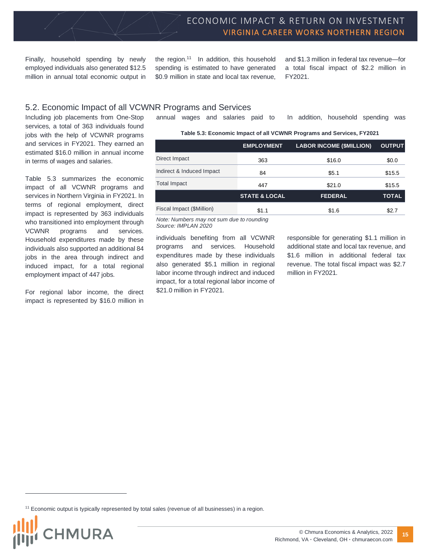Finally, household spending by newly employed individuals also generated \$12.5 million in annual total economic output in

the region.<sup>11</sup> In addition, this household spending is estimated to have generated \$0.9 million in state and local tax revenue,

and \$1.3 million in federal tax revenue—for a total fiscal impact of \$2.2 million in FY2021.

### <span id="page-14-0"></span>5.2. Economic Impact of all VCWNR Programs and Services

Including job placements from One-Stop services, a total of 363 individuals found jobs with the help of VCWNR programs and services in FY2021. They earned an estimated \$16.0 million in annual income in terms of wages and salaries.

Table 5.3 summarizes the economic impact of all VCWNR programs and services in Northern Virginia in FY2021. In terms of regional employment, direct impact is represented by 363 individuals who transitioned into employment through VCWNR programs and services. Household expenditures made by these individuals also supported an additional 84 jobs in the area through indirect and induced impact, for a total regional employment impact of 447 jobs.

For regional labor income, the direct impact is represented by \$16.0 million in annual wages and salaries paid to In addition, household spending was

| Table 5.3: Economic Impact of all VCWNR Programs and Services, FY2021 |  |  |  |
|-----------------------------------------------------------------------|--|--|--|
|                                                                       |  |  |  |

|                           | <b>EMPLOYMENT</b>        | <b>LABOR INCOME (\$MILLION)</b> | <b>OUTPUT</b> |
|---------------------------|--------------------------|---------------------------------|---------------|
| Direct Impact             | 363                      | \$16.0                          | \$0.0         |
| Indirect & Induced Impact | 84                       | \$5.1                           | \$15.5        |
| <b>Total Impact</b>       | 447                      | \$21.0                          | \$15.5        |
|                           | <b>STATE &amp; LOCAL</b> | <b>FEDERAL</b>                  | <b>TOTAL</b>  |
| Fiscal Impact (\$Million) | \$1.1                    | \$1.6                           | \$2.7         |

*Note: Numbers may not sum due to rounding Source: IMPLAN 2020*

individuals benefiting from all VCWNR programs and services. Household expenditures made by these individuals also generated \$5.1 million in regional labor income through indirect and induced impact, for a total regional labor income of \$21.0 million in FY2021.

responsible for generating \$1.1 million in additional state and local tax revenue, and \$1.6 million in additional federal tax revenue. The total fiscal impact was \$2.7 million in FY2021.

<sup>&</sup>lt;sup>11</sup> Economic output is typically represented by total sales (revenue of all businesses) in a region.

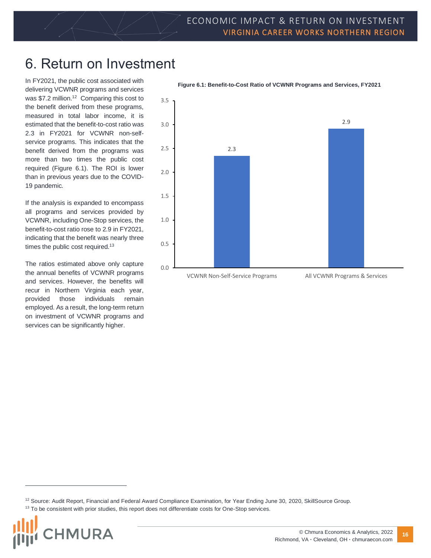## <span id="page-15-0"></span>6. Return on Investment

In FY2021, the public cost associated with delivering VCWNR programs and services was \$7.2 million.<sup>12</sup> Comparing this cost to the benefit derived from these programs, measured in total labor income, it is estimated that the benefit-to-cost ratio was 2.3 in FY2021 for VCWNR non-selfservice programs. This indicates that the benefit derived from the programs was more than two times the public cost required (Figure 6.1). The ROI is lower than in previous years due to the COVID-19 pandemic.

If the analysis is expanded to encompass all programs and services provided by VCWNR, including One-Stop services, the benefit-to-cost ratio rose to 2.9 in FY2021, indicating that the benefit was nearly three times the public cost required.<sup>13</sup>

The ratios estimated above only capture the annual benefits of VCWNR programs and services. However, the benefits will recur in Northern Virginia each year, provided those individuals remain employed. As a result, the long-term return on investment of VCWNR programs and services can be significantly higher.



**Figure 6.1: Benefit-to-Cost Ratio of VCWNR Programs and Services, FY2021**

<sup>&</sup>lt;sup>13</sup> To be consistent with prior studies, this report does not differentiate costs for One-Stop services.



<sup>&</sup>lt;sup>12</sup> Source: Audit Report, Financial and Federal Award Compliance Examination, for Year Ending June 30, 2020, SkillSource Group.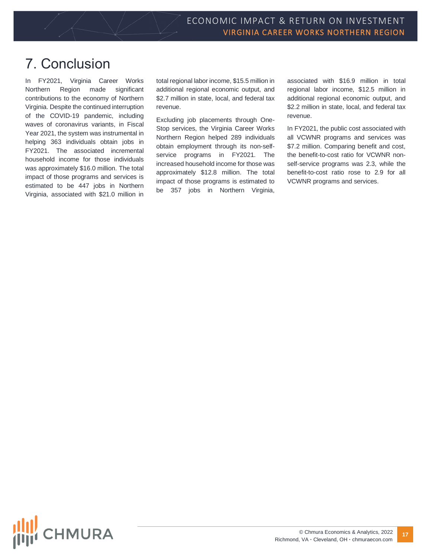### <span id="page-16-0"></span>7. Conclusion

In FY2021, Virginia Career Works Northern Region made significant contributions to the economy of Northern Virginia. Despite the continued interruption of the COVID-19 pandemic, including waves of coronavirus variants, in Fiscal Year 2021, the system was instrumental in helping 363 individuals obtain jobs in FY2021. The associated incremental household income for those individuals was approximately \$16.0 million. The total impact of those programs and services is estimated to be 447 jobs in Northern Virginia, associated with \$21.0 million in

total regional labor income, \$15.5 million in additional regional economic output, and \$2.7 million in state, local, and federal tax revenue.

Excluding job placements through One-Stop services, the Virginia Career Works Northern Region helped 289 individuals obtain employment through its non-selfservice programs in FY2021. The increased household income for those was approximately \$12.8 million. The total impact of those programs is estimated to be 357 jobs in Northern Virginia, associated with \$16.9 million in total regional labor income, \$12.5 million in additional regional economic output, and \$2.2 million in state, local, and federal tax revenue.

In FY2021, the public cost associated with all VCWNR programs and services was \$7.2 million. Comparing benefit and cost, the benefit-to-cost ratio for VCWNR nonself-service programs was 2.3, while the benefit-to-cost ratio rose to 2.9 for all VCWNR programs and services.

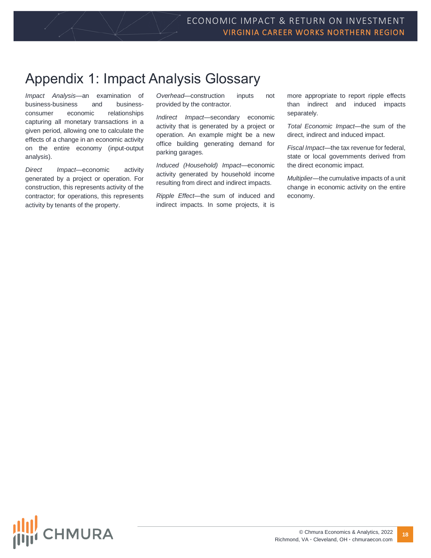## <span id="page-17-0"></span>Appendix 1: Impact Analysis Glossary

*Impact Analysis*—an examination of business-business and businessconsumer economic relationships capturing all monetary transactions in a given period, allowing one to calculate the effects of a change in an economic activity on the entire economy (input-output analysis).

*Direct Impact*—economic activity generated by a project or operation. For construction, this represents activity of the contractor; for operations, this represents activity by tenants of the property.

*Overhead*—construction inputs not provided by the contractor.

*Indirect Impact*—secondary economic activity that is generated by a project or operation. An example might be a new office building generating demand for parking garages.

*Induced (Household) Impact*—economic activity generated by household income resulting from direct and indirect impacts.

*Ripple Effect*—the sum of induced and indirect impacts. In some projects, it is

more appropriate to report ripple effects than indirect and induced impacts separately.

*Total Economic Impact*—the sum of the direct, indirect and induced impact.

*Fiscal Impact*—the tax revenue for federal, state or local governments derived from the direct economic impact.

*Multiplier*—the cumulative impacts of a unit change in economic activity on the entire economy.

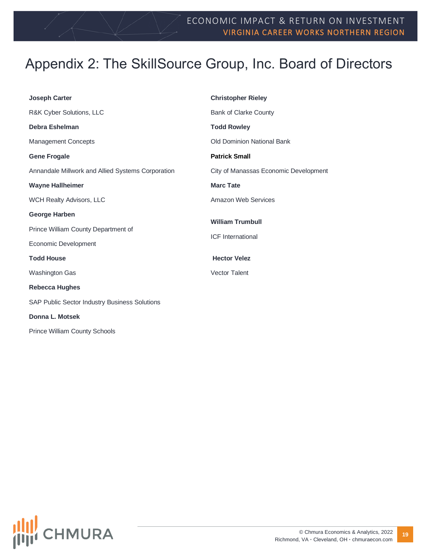## <span id="page-18-0"></span>Appendix 2: The SkillSource Group, Inc. Board of Directors

| <b>Christopher Rieley</b>             |  |
|---------------------------------------|--|
| Bank of Clarke County                 |  |
| <b>Todd Rowley</b>                    |  |
| <b>Old Dominion National Bank</b>     |  |
| <b>Patrick Small</b>                  |  |
| City of Manassas Economic Development |  |
| <b>Marc Tate</b>                      |  |
| Amazon Web Services                   |  |
| <b>William Trumbull</b>               |  |
| <b>ICF</b> International              |  |
|                                       |  |
| <b>Hector Velez</b>                   |  |
| <b>Vector Talent</b>                  |  |
|                                       |  |
|                                       |  |
|                                       |  |
|                                       |  |

Prince William County Schools

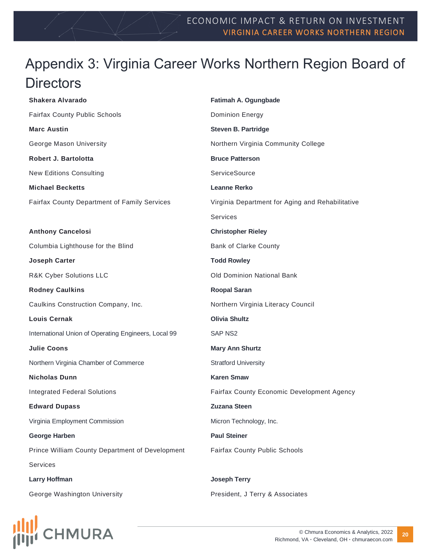## <span id="page-19-0"></span>Appendix 3: Virginia Career Works Northern Region Board of **Directors**

**Shakera Alvarado** Fairfax County Public Schools **Fatimah A. Ogungbade** Dominion Energy **Marc Austin** George Mason University **Steven B. Partridge** Northern Virginia Community College **Robert J. Bartolotta** New Editions Consulting **Bruce Patterson ServiceSource Michael Becketts** Fairfax County Department of Family Services **Leanne Rerko** Virginia Department for Aging and Rehabilitative Services **Anthony Cancelosi** Columbia Lighthouse for the Blind **Christopher Rieley** Bank of Clarke County **Joseph Carter** R&K Cyber Solutions LLC **Todd Rowley** Old Dominion National Bank **Rodney Caulkins** Caulkins Construction Company, Inc. **Roopal Saran** Northern Virginia Literacy Council **Louis Cernak** International Union of Operating Engineers, Local 99 **Olivia Shultz** SAP NS2 **Julie Coons** Northern Virginia Chamber of Commerce **Mary Ann Shurtz** Stratford University **Nicholas Dunn** Integrated Federal Solutions **Karen Smaw** Fairfax County Economic Development Agency **Edward Dupass** Virginia Employment Commission **Zuzana Steen** Micron Technology, Inc. **George Harben** Prince William County Department of Development Services **Paul Steiner** Fairfax County Public Schools **Larry Hoffman** George Washington University **Joseph Terry** President, J Terry & Associates